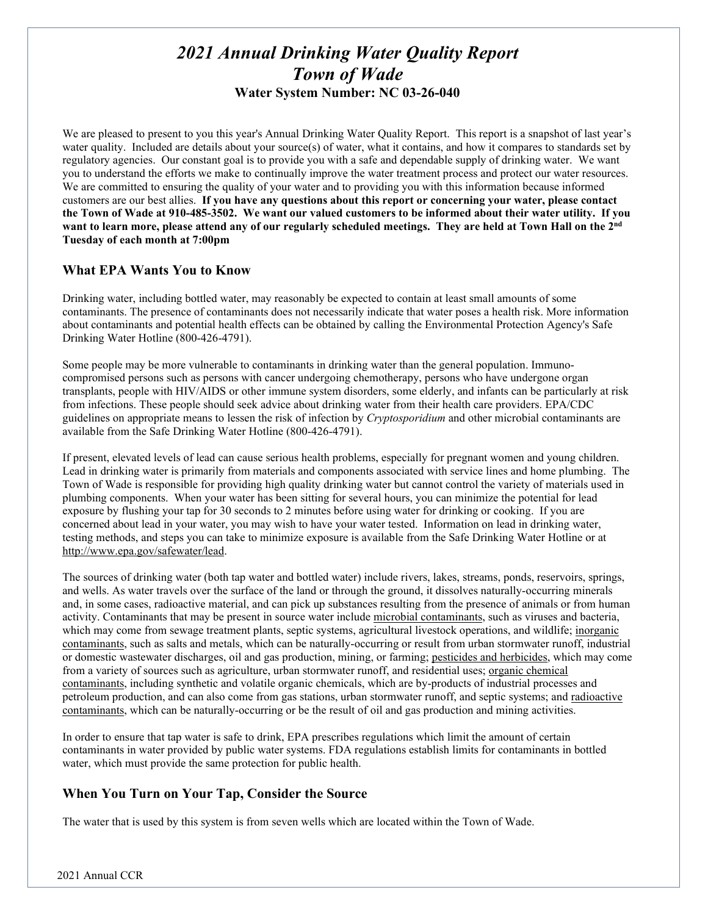# *2021 Annual Drinking Water Quality Report Town of Wade* **Water System Number: NC 03-26-040**

We are pleased to present to you this year's Annual Drinking Water Quality Report. This report is a snapshot of last year's water quality. Included are details about your source(s) of water, what it contains, and how it compares to standards set by regulatory agencies. Our constant goal is to provide you with a safe and dependable supply of drinking water. We want you to understand the efforts we make to continually improve the water treatment process and protect our water resources. We are committed to ensuring the quality of your water and to providing you with this information because informed customers are our best allies. **If you have any questions about this report or concerning your water, please contact the Town of Wade at 910-485-3502. We want our valued customers to be informed about their water utility. If you want to learn more, please attend any of our regularly scheduled meetings. They are held at Town Hall on the 2nd Tuesday of each month at 7:00pm**

# **What EPA Wants You to Know**

Drinking water, including bottled water, may reasonably be expected to contain at least small amounts of some contaminants. The presence of contaminants does not necessarily indicate that water poses a health risk. More information about contaminants and potential health effects can be obtained by calling the Environmental Protection Agency's Safe Drinking Water Hotline (800-426-4791).

Some people may be more vulnerable to contaminants in drinking water than the general population. Immunocompromised persons such as persons with cancer undergoing chemotherapy, persons who have undergone organ transplants, people with HIV/AIDS or other immune system disorders, some elderly, and infants can be particularly at risk from infections. These people should seek advice about drinking water from their health care providers. EPA/CDC guidelines on appropriate means to lessen the risk of infection by *Cryptosporidium* and other microbial contaminants are available from the Safe Drinking Water Hotline (800-426-4791).

If present, elevated levels of lead can cause serious health problems, especially for pregnant women and young children. Lead in drinking water is primarily from materials and components associated with service lines and home plumbing. The Town of Wade is responsible for providing high quality drinking water but cannot control the variety of materials used in plumbing components. When your water has been sitting for several hours, you can minimize the potential for lead exposure by flushing your tap for 30 seconds to 2 minutes before using water for drinking or cooking. If you are concerned about lead in your water, you may wish to have your water tested. Information on lead in drinking water, testing methods, and steps you can take to minimize exposure is available from the Safe Drinking Water Hotline or at [http://www.epa.gov/safewater/lead.](http://www.epa.gov/safewater/lead)

The sources of drinking water (both tap water and bottled water) include rivers, lakes, streams, ponds, reservoirs, springs, and wells. As water travels over the surface of the land or through the ground, it dissolves naturally-occurring minerals and, in some cases, radioactive material, and can pick up substances resulting from the presence of animals or from human activity. Contaminants that may be present in source water include microbial contaminants, such as viruses and bacteria, which may come from sewage treatment plants, septic systems, agricultural livestock operations, and wildlife; inorganic contaminants, such as salts and metals, which can be naturally-occurring or result from urban stormwater runoff, industrial or domestic wastewater discharges, oil and gas production, mining, or farming; pesticides and herbicides, which may come from a variety of sources such as agriculture, urban stormwater runoff, and residential uses; organic chemical contaminants, including synthetic and volatile organic chemicals, which are by-products of industrial processes and petroleum production, and can also come from gas stations, urban stormwater runoff, and septic systems; and radioactive contaminants, which can be naturally-occurring or be the result of oil and gas production and mining activities.

In order to ensure that tap water is safe to drink, EPA prescribes regulations which limit the amount of certain contaminants in water provided by public water systems. FDA regulations establish limits for contaminants in bottled water, which must provide the same protection for public health.

# **When You Turn on Your Tap, Consider the Source**

The water that is used by this system is from seven wells which are located within the Town of Wade.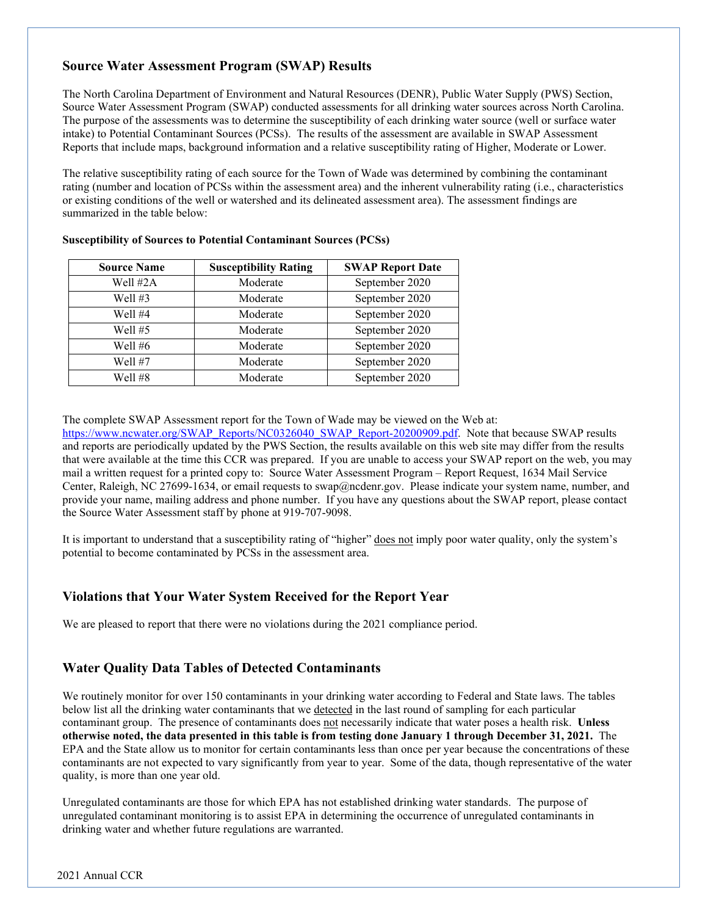# **Source Water Assessment Program (SWAP) Results**

The North Carolina Department of Environment and Natural Resources (DENR), Public Water Supply (PWS) Section, Source Water Assessment Program (SWAP) conducted assessments for all drinking water sources across North Carolina. The purpose of the assessments was to determine the susceptibility of each drinking water source (well or surface water intake) to Potential Contaminant Sources (PCSs). The results of the assessment are available in SWAP Assessment Reports that include maps, background information and a relative susceptibility rating of Higher, Moderate or Lower.

The relative susceptibility rating of each source for the Town of Wade was determined by combining the contaminant rating (number and location of PCSs within the assessment area) and the inherent vulnerability rating (i.e., characteristics or existing conditions of the well or watershed and its delineated assessment area). The assessment findings are summarized in the table below:

| <b>Source Name</b> | <b>Susceptibility Rating</b> | <b>SWAP Report Date</b> |
|--------------------|------------------------------|-------------------------|
| Well #2A           | Moderate                     | September 2020          |
| Well $#3$          | Moderate                     | September 2020          |
| Well #4            | Moderate                     | September 2020          |
| Well $#5$          | Moderate                     | September 2020          |
| Well $#6$          | Moderate                     | September 2020          |
| Well #7            | Moderate                     | September 2020          |
| Well #8            | Moderate                     | September 2020          |

#### **Susceptibility of Sources to Potential Contaminant Sources (PCSs)**

The complete SWAP Assessment report for the Town of Wade may be viewed on the Web at:

[https://www.ncwater.org/SWAP\\_Reports/NC0326040\\_SWAP\\_Report-20200909.pdf.](https://www.ncwater.org/SWAP_Reports/NC0326040_SWAP_Report-20200909.pdf) Note that because SWAP results and reports are periodically updated by the PWS Section, the results available on this web site may differ from the results that were available at the time this CCR was prepared. If you are unable to access your SWAP report on the web, you may mail a written request for a printed copy to: Source Water Assessment Program – Report Request, 1634 Mail Service Center, Raleigh, NC 27699-1634, or email requests to swap@ncdenr.gov. Please indicate your system name, number, and provide your name, mailing address and phone number. If you have any questions about the SWAP report, please contact the Source Water Assessment staff by phone at 919-707-9098.

It is important to understand that a susceptibility rating of "higher" does not imply poor water quality, only the system's potential to become contaminated by PCSs in the assessment area.

# **Violations that Your Water System Received for the Report Year**

We are pleased to report that there were no violations during the 2021 compliance period.

# **Water Quality Data Tables of Detected Contaminants**

We routinely monitor for over 150 contaminants in your drinking water according to Federal and State laws. The tables below list all the drinking water contaminants that we detected in the last round of sampling for each particular contaminant group. The presence of contaminants does not necessarily indicate that water poses a health risk. **Unless otherwise noted, the data presented in this table is from testing done January 1 through December 31, 2021.** The EPA and the State allow us to monitor for certain contaminants less than once per year because the concentrations of these contaminants are not expected to vary significantly from year to year. Some of the data, though representative of the water quality, is more than one year old.

Unregulated contaminants are those for which EPA has not established drinking water standards. The purpose of unregulated contaminant monitoring is to assist EPA in determining the occurrence of unregulated contaminants in drinking water and whether future regulations are warranted.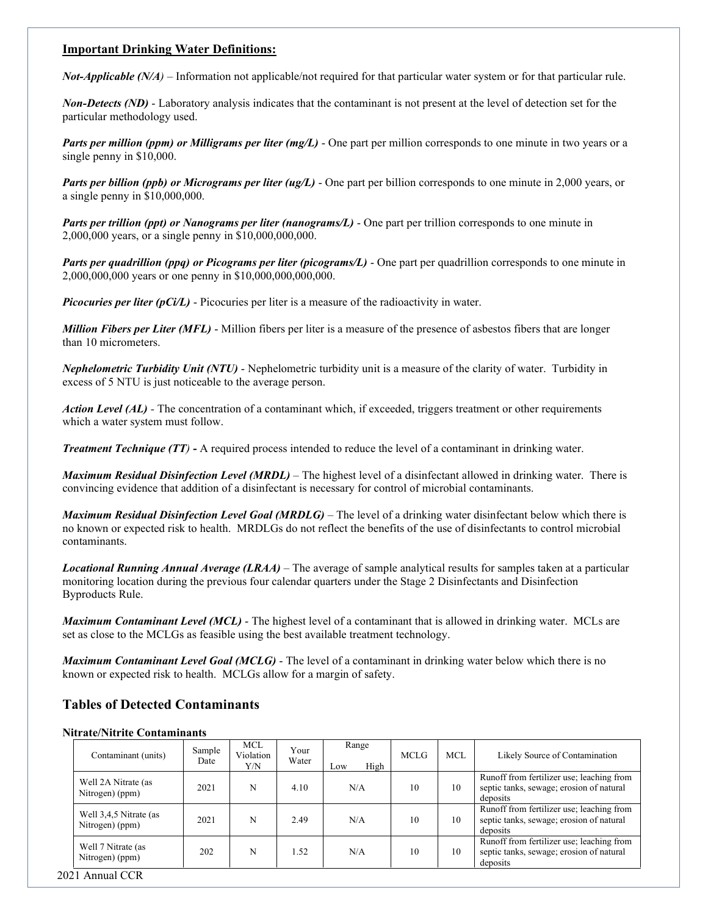### **Important Drinking Water Definitions:**

*Not-Applicable (N/A)* – Information not applicable/not required for that particular water system or for that particular rule.

*Non-Detects (ND)* - Laboratory analysis indicates that the contaminant is not present at the level of detection set for the particular methodology used.

*Parts per million (ppm) or Milligrams per liter (mg/L)* - One part per million corresponds to one minute in two years or a single penny in \$10,000.

*Parts per billion (ppb) or Micrograms per liter (ug/L)* - One part per billion corresponds to one minute in 2,000 years, or a single penny in \$10,000,000.

*Parts per trillion (ppt) or Nanograms per liter (nanograms/L)* - One part per trillion corresponds to one minute in 2,000,000 years, or a single penny in \$10,000,000,000.

*Parts per quadrillion (ppq) or Picograms per liter (picograms/L)* - One part per quadrillion corresponds to one minute in 2,000,000,000 years or one penny in \$10,000,000,000,000.

*Picocuries per liter (pCi/L)* - Picocuries per liter is a measure of the radioactivity in water.

*Million Fibers per Liter (MFL)* - Million fibers per liter is a measure of the presence of asbestos fibers that are longer than 10 micrometers.

*Nephelometric Turbidity Unit (NTU)* - Nephelometric turbidity unit is a measure of the clarity of water. Turbidity in excess of 5 NTU is just noticeable to the average person.

*Action Level (AL) -* The concentration of a contaminant which, if exceeded, triggers treatment or other requirements which a water system must follow.

*Treatment Technique (TT)* **-** A required process intended to reduce the level of a contaminant in drinking water.

*Maximum Residual Disinfection Level (MRDL)* – The highest level of a disinfectant allowed in drinking water. There is convincing evidence that addition of a disinfectant is necessary for control of microbial contaminants.

*Maximum Residual Disinfection Level Goal (MRDLG)* – The level of a drinking water disinfectant below which there is no known or expected risk to health. MRDLGs do not reflect the benefits of the use of disinfectants to control microbial contaminants.

*Locational Running Annual Average (LRAA)* – The average of sample analytical results for samples taken at a particular monitoring location during the previous four calendar quarters under the Stage 2 Disinfectants and Disinfection Byproducts Rule.

*Maximum Contaminant Level (MCL)* - The highest level of a contaminant that is allowed in drinking water. MCLs are set as close to the MCLGs as feasible using the best available treatment technology.

*Maximum Contaminant Level Goal (MCLG)* - The level of a contaminant in drinking water below which there is no known or expected risk to health. MCLGs allow for a margin of safety.

# **Tables of Detected Contaminants**

#### **Nitrate/Nitrite Contaminants**

| Contaminant (units)                       | Sample<br>Date | MCL<br>Violation<br>Y/N | Your<br>Water | Range<br>High<br>Low | <b>MCLG</b> | <b>MCL</b> | Likely Source of Contamination                                                                    |
|-------------------------------------------|----------------|-------------------------|---------------|----------------------|-------------|------------|---------------------------------------------------------------------------------------------------|
| Well 2A Nitrate (as<br>Nitrogen) (ppm)    | 2021           | N                       | 4.10          | N/A                  | 10          | 10         | Runoff from fertilizer use; leaching from<br>septic tanks, sewage; erosion of natural<br>deposits |
| Well 3.4.5 Nitrate (as<br>Nitrogen) (ppm) | 2021           | N                       | 2.49          | N/A                  | 10          | 10         | Runoff from fertilizer use; leaching from<br>septic tanks, sewage; erosion of natural<br>deposits |
| Well 7 Nitrate (as<br>Nitrogen) (ppm)     | 202            | N                       | 1.52          | N/A                  | 10          | 10         | Runoff from fertilizer use; leaching from<br>septic tanks, sewage; erosion of natural<br>deposits |
| 021 Annual CCR                            |                |                         |               |                      |             |            |                                                                                                   |

2021 Annual CCR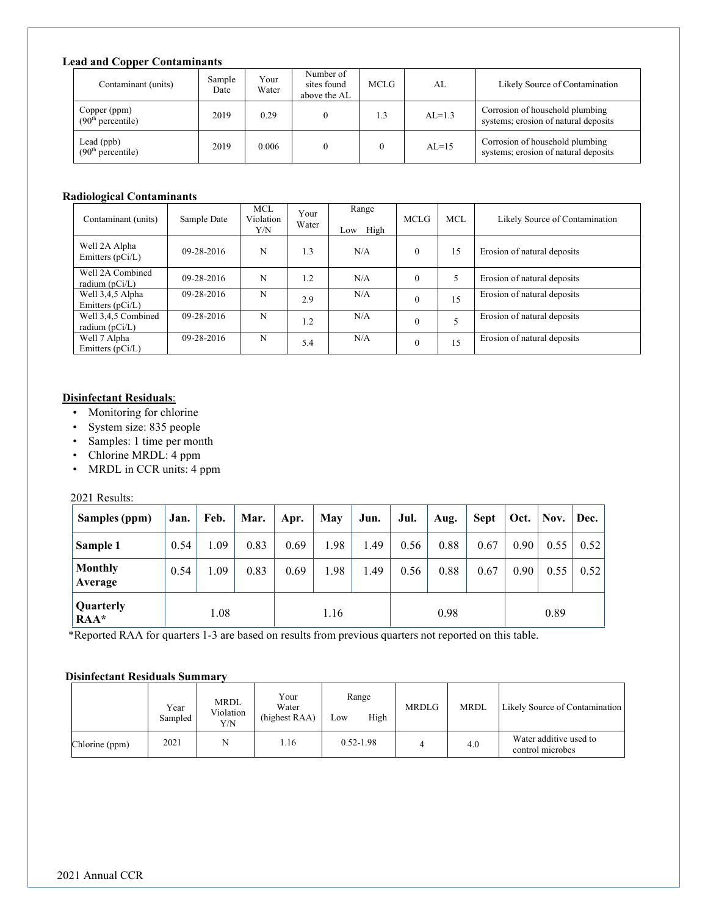### **Lead and Copper Contaminants**

| Contaminant (units)                           | Sample<br>Date | Your<br>Water | Number of<br>sites found<br>above the AL | <b>MCLG</b> | AL       | Likely Source of Contamination                                          |
|-----------------------------------------------|----------------|---------------|------------------------------------------|-------------|----------|-------------------------------------------------------------------------|
| Copper (ppm)<br>(90 <sup>th</sup> percentile) | 2019           | 0.29          |                                          | 1.3         | $AL=1.3$ | Corrosion of household plumbing<br>systems; erosion of natural deposits |
| Lead $(ppb)$<br>(90 <sup>th</sup> percentile) | 2019           | 0.006         |                                          |             | $AL=15$  | Corrosion of household plumbing<br>systems; erosion of natural deposits |

### **Radiological Contaminants**

| Contaminant (units)                     | Sample Date | <b>MCL</b><br>Violation<br>Y/N | Your<br>Water | Range<br>High<br>Low | <b>MCLG</b>  | <b>MCL</b> | Likely Source of Contamination |
|-----------------------------------------|-------------|--------------------------------|---------------|----------------------|--------------|------------|--------------------------------|
| Well 2A Alpha<br>Emitters $(pCi/L)$     | 09-28-2016  | N                              | 1.3           | N/A                  | $\theta$     | 15         | Erosion of natural deposits    |
| Well 2A Combined<br>radium $(pCi/L)$    | 09-28-2016  | N                              | 1.2           | N/A                  | $\mathbf{0}$ | 5          | Erosion of natural deposits    |
| Well 3,4,5 Alpha<br>Emitters $(pCi/L)$  | 09-28-2016  | N                              | 2.9           | N/A                  | $\theta$     | 15         | Erosion of natural deposits    |
| Well 3,4,5 Combined<br>radium $(pCi/L)$ | 09-28-2016  | N                              | 1.2           | N/A                  | $\theta$     |            | Erosion of natural deposits    |
| Well 7 Alpha<br>Emitters $(pCi/L)$      | 09-28-2016  | N                              | 5.4           | N/A                  | $\theta$     | 15         | Erosion of natural deposits    |

### **Disinfectant Residuals**:

- Monitoring for chlorine
- System size: 835 people
- Samples: 1 time per month
- Chlorine MRDL: 4 ppm
- MRDL in CCR units: 4 ppm

2021 Results:

| Samples (ppm)               | Jan. | Feb. | Mar. | Apr. | <b>May</b> | Jun. | Jul. | Aug. | <b>Sept</b> | Oct.              | Nov. | Dec. |
|-----------------------------|------|------|------|------|------------|------|------|------|-------------|-------------------|------|------|
| Sample 1                    | 0.54 | 1.09 | 0.83 | 0.69 | 1.98       | 1.49 | 0.56 | 0.88 | 0.67        | 0.90 <sub>1</sub> | 0.55 | 0.52 |
| <b>Monthly</b><br>Average   | 0.54 | 1.09 | 0.83 | 0.69 | 1.98       | 1.49 | 0.56 | 0.88 | 0.67        | 0.90 <sub>1</sub> | 0.55 | 0.52 |
| Quarterly<br>1.08<br>$RAA*$ |      |      | 1.16 |      | 0.98       |      |      | 0.89 |             |                   |      |      |

\*Reported RAA for quarters 1-3 are based on results from previous quarters not reported on this table.

### **Disinfectant Residuals Summary**

|                | Year<br>Sampled | MRDL<br>Violation<br>Y/N | Your<br>Water<br>(highest RAA) | Range<br>High<br>Low | <b>MRDLG</b> | <b>MRDL</b> | Likely Source of Contamination             |
|----------------|-----------------|--------------------------|--------------------------------|----------------------|--------------|-------------|--------------------------------------------|
| Chlorine (ppm) | 2021            | N                        | 1.16                           | $0.52 - 1.98$        |              | 4.0         | Water additive used to<br>control microbes |